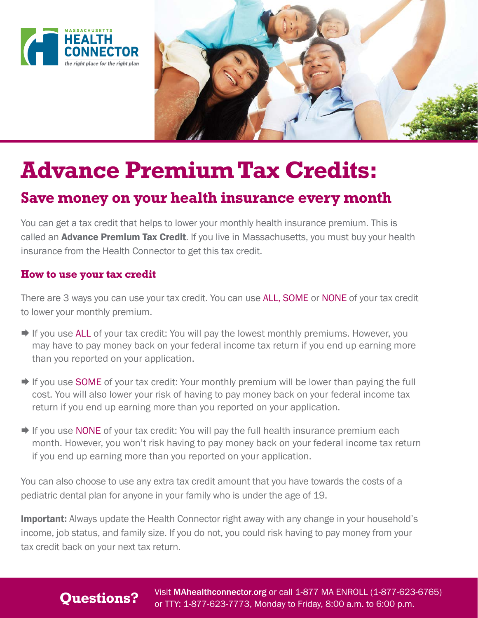



# **Advance Premium Tax Credits:**

## **Save money on your health insurance every month**

You can get a tax credit that helps to lower your monthly health insurance premium. This is called an **Advance Premium Tax Credit**. If you live in Massachusetts, you must buy your health insurance from the Health Connector to get this tax credit.

#### **How to use your tax credit**

There are 3 ways you can use your tax credit. You can use ALL, SOME or NONE of your tax credit to lower your monthly premium.

- $\Rightarrow$  If you use ALL of your tax credit: You will pay the lowest monthly premiums. However, you may have to pay money back on your federal income tax return if you end up earning more than you reported on your application.
- **If you use SOME** of your tax credit: Your monthly premium will be lower than paying the full cost. You will also lower your risk of having to pay money back on your federal income tax return if you end up earning more than you reported on your application.
- $\rightarrow$  If you use NONE of your tax credit: You will pay the full health insurance premium each month. However, you won't risk having to pay money back on your federal income tax return if you end up earning more than you reported on your application.

You can also choose to use any extra tax credit amount that you have towards the costs of a pediatric dental plan for anyone in your family who is under the age of 19.

**Important:** Always update the Health Connector right away with any change in your household's income, job status, and family size. If you do not, you could risk having to pay money from your tax credit back on your next tax return.